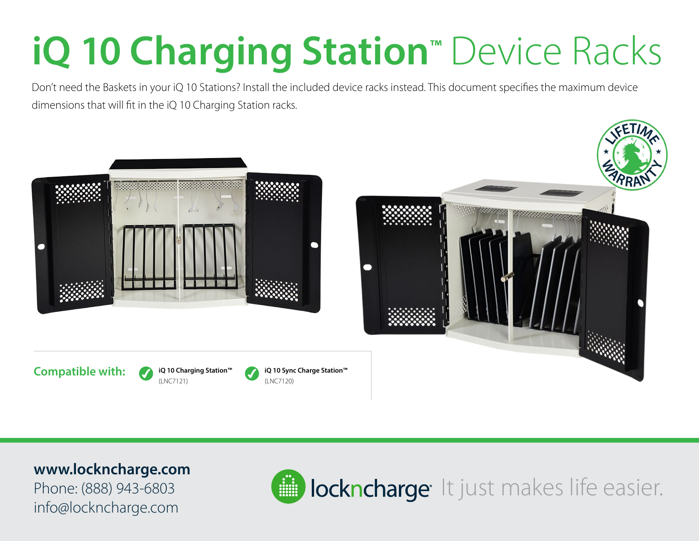## **iQ 10 Charging Station™** Device Racks

Don't need the Baskets in your iQ 10 Stations? Install the included device racks instead. This document specifies the maximum device dimensions that will fit in the iQ 10 Charging Station racks.



**iQ 10 Charging Station™** 

(LNC7120)

(LNC7121)



Phone: (888) 943-6803 info@lockncharge.com

**Compatible with:**